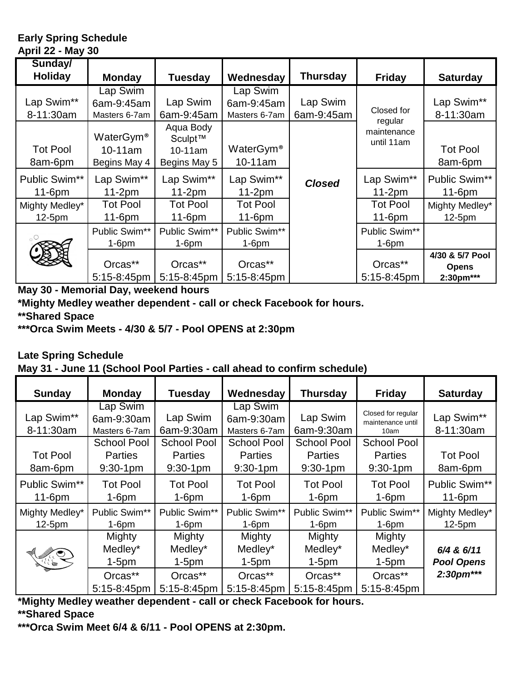## **Early Spring Schedule April 22 - May 30**

| Sunday/<br><b>Holiday</b>  | <b>Monday</b>                                       | <b>Tuesday</b>                                     | Wednesday                               | <b>Thursday</b>        | <b>Friday</b>                        | <b>Saturday</b>                              |
|----------------------------|-----------------------------------------------------|----------------------------------------------------|-----------------------------------------|------------------------|--------------------------------------|----------------------------------------------|
| Lap Swim**<br>8-11:30am    | Lap Swim<br>6am-9:45am<br>Masters 6-7am             | Lap Swim<br>6am-9:45am                             | Lap Swim<br>6am-9:45am<br>Masters 6-7am | Lap Swim<br>6am-9:45am | Closed for                           | Lap Swim**<br>8-11:30am                      |
| <b>Tot Pool</b><br>8am-6pm | WaterGym <sup>®</sup><br>$10-11$ am<br>Begins May 4 | Aqua Body<br>Sculpt™<br>$10-11$ am<br>Begins May 5 | WaterGym <sup>®</sup><br>10-11am        |                        | regular<br>maintenance<br>until 11am | <b>Tot Pool</b><br>8am-6pm                   |
| Public Swim**<br>$11-6pm$  | Lap Swim**<br>$11-2pm$                              | Lap Swim**<br>$11-2pm$                             | Lap Swim**<br>$11-2pm$                  | <b>Closed</b>          | Lap Swim**<br>$11-2pm$               | Public Swim**<br>$11-6$ pm                   |
| Mighty Medley*<br>12-5pm   | <b>Tot Pool</b><br>$11-6pm$                         | <b>Tot Pool</b><br>$11-6pm$                        | <b>Tot Pool</b><br>$11-6pm$             |                        | <b>Tot Pool</b><br>$11-6pm$          | Mighty Medley*<br>12-5pm                     |
| $_{\circ}$ O               | Public Swim**<br>$1-6$ pm                           | Public Swim**<br>$1-6$ pm                          | Public Swim**<br>$1-6$ pm               |                        | Public Swim**<br>$1-6$ pm            |                                              |
|                            | Orcas**<br>$5:15-8:45$ pm                           | Orcas**<br>$5:15-8:45$ pm                          | Orcas**<br>$5:15-8:45$ pm               |                        | Orcas**<br>$5:15-8:45$ pm            | 4/30 & 5/7 Pool<br><b>Opens</b><br>2:30pm*** |

**May 30 - Memorial Day, weekend hours**

**\*Mighty Medley weather dependent - call or check Facebook for hours.**

**\*\*Shared Space**

**\*\*\*Orca Swim Meets - 4/30 & 5/7 - Pool OPENS at 2:30pm**

**Late Spring Schedule May 31 - June 11 (School Pool Parties - call ahead to confirm schedule)** 

| <b>Sunday</b>              | <b>Monday</b>                                       | <b>Tuesday</b>                                      | Wednesday                                           | <b>Thursday</b>                                     | <b>Friday</b>                                   | <b>Saturday</b>                 |
|----------------------------|-----------------------------------------------------|-----------------------------------------------------|-----------------------------------------------------|-----------------------------------------------------|-------------------------------------------------|---------------------------------|
| Lap Swim**<br>8-11:30am    | Lap Swim<br>6am-9:30am<br>Masters 6-7am             | Lap Swim<br>6am-9:30am                              | Lap Swim<br>6am-9:30am<br>Masters 6-7am             | Lap Swim<br>6am-9:30am                              | Closed for regular<br>maintenance until<br>10am | Lap Swim**<br>8-11:30am         |
| <b>Tot Pool</b><br>8am-6pm | <b>School Pool</b><br><b>Parties</b><br>$9:30-1$ pm | <b>School Pool</b><br><b>Parties</b><br>$9:30-1$ pm | <b>School Pool</b><br><b>Parties</b><br>$9:30-1$ pm | <b>School Pool</b><br><b>Parties</b><br>$9:30-1$ pm | School Pool<br><b>Parties</b><br>$9:30-1$ pm    | <b>Tot Pool</b><br>8am-6pm      |
| Public Swim**<br>$11-6$ pm | <b>Tot Pool</b><br>$1-6$ pm                         | <b>Tot Pool</b><br>$1-6$ pm                         | <b>Tot Pool</b><br>$1-6$ pm                         | <b>Tot Pool</b><br>$1-6$ pm                         | <b>Tot Pool</b><br>$1-6$ pm                     | Public Swim**<br>$11-6$ pm      |
| Mighty Medley*<br>$12-5pm$ | Public Swim**<br>$1-6$ pm                           | Public Swim**<br>$1-6$ pm                           | Public Swim**<br>$1-6$ pm                           | Public Swim**<br>$1-6$ pm                           | Public Swim**<br>$1-6$ pm                       | Mighty Medley*<br>12-5pm        |
| Aug                        | Mighty<br>Medley*<br>$1-5pm$                        | Mighty<br>Medley*<br>$1-5pm$                        | Mighty<br>Medley*<br>$1-5pm$                        | Mighty<br>Medley*<br>$1-5pm$                        | Mighty<br>Medley*<br>$1-5pm$                    | 6/4 & 6/11<br><b>Pool Opens</b> |
|                            | Orcas**<br>$5:15-8:45$ pm                           | Orcas**<br>$5:15-8:45$ pm                           | Orcas**<br>5:15-8:45pm                              | Orcas**<br>5:15-8:45pm                              | Orcas**<br>5:15-8:45pm                          | 2:30pm***                       |

**\*Mighty Medley weather dependent - call or check Facebook for hours.**

**\*\*Shared Space**

**\*\*\*Orca Swim Meet 6/4 & 6/11 - Pool OPENS at 2:30pm.**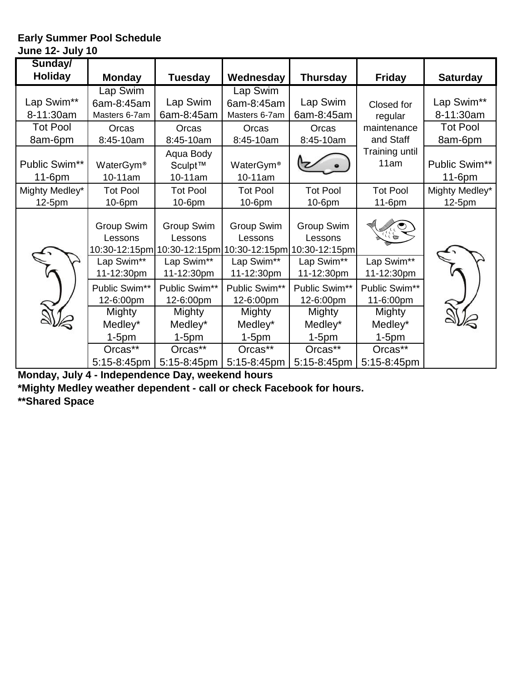#### **Early Summer Pool Schedule June 12- July 10**

| Sunday/                    |                                         |                                                      |                                         |                                                      |                                   |                            |
|----------------------------|-----------------------------------------|------------------------------------------------------|-----------------------------------------|------------------------------------------------------|-----------------------------------|----------------------------|
| <b>Holiday</b>             | <b>Monday</b>                           | <b>Tuesday</b>                                       | Wednesday                               | <b>Thursday</b>                                      | <b>Friday</b>                     | <b>Saturday</b>            |
| Lap Swim**<br>8-11:30am    | Lap Swim<br>6am-8:45am<br>Masters 6-7am | Lap Swim<br>6am-8:45am                               | Lap Swim<br>6am-8:45am<br>Masters 6-7am | Lap Swim<br>6am-8:45am                               | Closed for<br>regular             | Lap Swim**<br>8-11:30am    |
| <b>Tot Pool</b><br>8am-6pm | Orcas<br>8:45-10am                      | Orcas<br>8:45-10am                                   | Orcas<br>8:45-10am                      | Orcas<br>8:45-10am                                   | maintenance<br>and Staff          | <b>Tot Pool</b><br>8am-6pm |
| Public Swim**<br>$11-6pm$  | WaterGym <sup>®</sup><br>10-11am        | Aqua Body<br>Sculpt™<br>10-11am                      | WaterGym <sup>®</sup><br>10-11am        |                                                      | Training until<br>11am            | Public Swim**<br>11-6pm    |
| Mighty Medley*<br>12-5pm   | <b>Tot Pool</b><br>10-6pm               | <b>Tot Pool</b><br>10-6pm                            | <b>Tot Pool</b><br>10-6pm               | <b>Tot Pool</b><br>10-6pm                            | <b>Tot Pool</b><br>11-6pm         | Mighty Medley*<br>12-5pm   |
|                            | Group Swim<br>Lessons                   | Group Swim<br>Lessons<br>10:30-12:15pm 10:30-12:15pm | Group Swim<br>Lessons                   | Group Swim<br>Lessons<br>10:30-12:15pm 10:30-12:15pm |                                   |                            |
|                            | Lap Swim**<br>11-12:30pm                | Lap Swim**<br>11-12:30pm                             | Lap Swim**<br>11-12:30pm                | Lap Swim**<br>11-12:30pm                             | Lap Swim**<br>11-12:30pm          |                            |
|                            | Public Swim**<br>12-6:00pm              | Public Swim**<br>12-6:00pm                           | Public Swim**<br>12-6:00pm              | Public Swim**<br>12-6:00pm                           | Public Swim**<br>11-6:00pm        |                            |
|                            | Mighty<br>Medley*                       | Mighty<br>Medley*                                    | Mighty<br>Medley*                       | Mighty<br>Medley*                                    | Mighty<br>Medley*                 |                            |
|                            | $1-5pm$<br>Orcas**<br>5:15-8:45pm       | $1-5pm$<br>Orcas**<br>5:15-8:45pm                    | $1-5pm$<br>Orcas**<br>5:15-8:45pm       | $1-5pm$<br>Orcas**<br>5:15-8:45pm                    | $1-5pm$<br>Orcas**<br>5:15-8:45pm |                            |

**Monday, July 4 - Independence Day, weekend hours** 

**\*Mighty Medley weather dependent - call or check Facebook for hours.**

**\*\*Shared Space**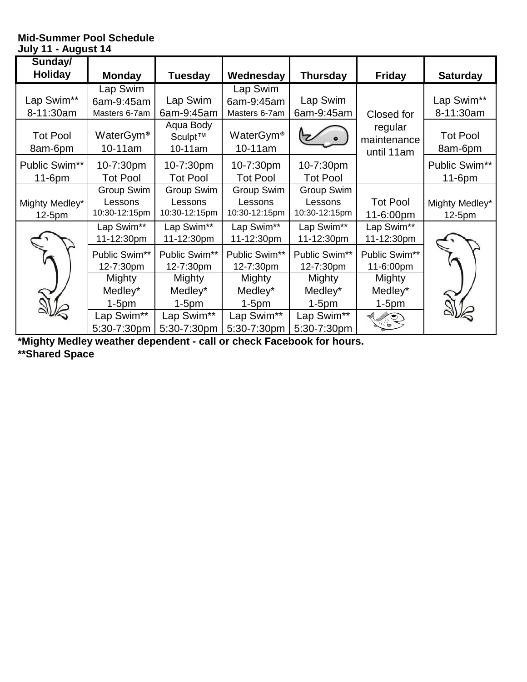## **Mid-Summer Pool Schedule July 11 - August 14**

| Sunday/                    |                                  |                                 |                                     |                 |                                      |                            |
|----------------------------|----------------------------------|---------------------------------|-------------------------------------|-----------------|--------------------------------------|----------------------------|
| <b>Holiday</b>             | <b>Monday</b>                    | <b>Tuesday</b>                  | Wednesday                           | <b>Thursday</b> | <b>Friday</b>                        | <b>Saturday</b>            |
|                            | Lap Swim                         |                                 | Lap Swim                            |                 |                                      |                            |
| Lap Swim**                 | 6am-9:45am                       | Lap Swim                        | 6am-9:45am                          | Lap Swim        |                                      | Lap Swim**                 |
| 8-11:30am                  | Masters 6-7am                    | 6am-9:45am                      | Masters 6-7am                       | 6am-9:45am      | Closed for                           | 8-11:30am                  |
| <b>Tot Pool</b><br>8am-6pm | WaterGym <sup>®</sup><br>10-11am | Aqua Body<br>Sculpt™<br>10-11am | WaterGym <sup>®</sup><br>$10-11$ am |                 | regular<br>maintenance<br>until 11am | <b>Tot Pool</b><br>8am-6pm |
| Public Swim**              | 10-7:30pm                        | 10-7:30pm                       | 10-7:30pm                           | 10-7:30pm       |                                      | Public Swim**              |
| 11-6pm                     | <b>Tot Pool</b>                  | <b>Tot Pool</b>                 | <b>Tot Pool</b>                     | <b>Tot Pool</b> |                                      | $11-6$ pm                  |
|                            | Group Swim                       | Group Swim                      | Group Swim                          | Group Swim      |                                      |                            |
| Mighty Medley*             | Lessons                          | Lessons                         | Lessons                             | Lessons         | <b>Tot Pool</b>                      | Mighty Medley*             |
| 12-5pm                     | 10:30-12:15pm                    | 10:30-12:15pm                   | 10:30-12:15pm                       | 10:30-12:15pm   | 11-6:00pm                            | 12-5pm                     |
|                            | Lap Swim**                       | Lap Swim**                      | Lap Swim**                          | Lap Swim**      | Lap Swim**                           |                            |
|                            | 11-12:30pm                       | 11-12:30pm                      | 11-12:30pm                          | 11-12:30pm      | 11-12:30pm                           |                            |
|                            | Public Swim**                    | Public Swim**                   | Public Swim**                       | Public Swim**   | Public Swim**                        |                            |
|                            | 12-7:30pm                        | 12-7:30pm                       | 12-7:30pm                           | 12-7:30pm       | 11-6:00pm                            |                            |
|                            | Mighty                           | Mighty                          | Mighty                              | Mighty          | Mighty                               |                            |
|                            | Medley*                          | Medley*                         | Medley*                             | Medley*         | Medley*                              |                            |
|                            | $1-5pm$                          | $1-5pm$                         | $1-5pm$                             | $1-5pm$         | $1-5pm$                              |                            |
|                            | Lap Swim**                       | Lap Swim**                      | Lap Swim**                          | Lap Swim**      |                                      |                            |
|                            | 5:30-7:30pm                      | 5:30-7:30pm                     | 5:30-7:30pm                         | 5:30-7:30pm     |                                      |                            |

**\*Mighty Medley weather dependent - call or check Facebook for hours.**

**\*\*Shared Space**